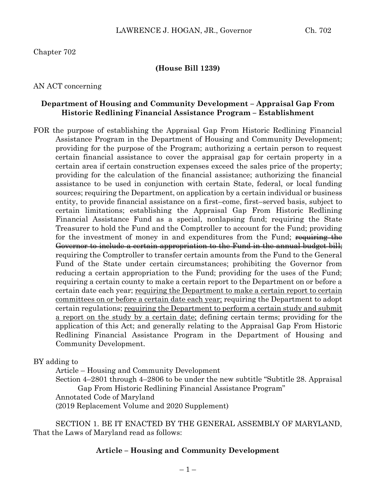Chapter 702

## **(House Bill 1239)**

AN ACT concerning

#### **Department of Housing and Community Development – Appraisal Gap From Historic Redlining Financial Assistance Program – Establishment**

FOR the purpose of establishing the Appraisal Gap From Historic Redlining Financial Assistance Program in the Department of Housing and Community Development; providing for the purpose of the Program; authorizing a certain person to request certain financial assistance to cover the appraisal gap for certain property in a certain area if certain construction expenses exceed the sales price of the property; providing for the calculation of the financial assistance; authorizing the financial assistance to be used in conjunction with certain State, federal, or local funding sources; requiring the Department, on application by a certain individual or business entity, to provide financial assistance on a first–come, first–served basis, subject to certain limitations; establishing the Appraisal Gap From Historic Redlining Financial Assistance Fund as a special, nonlapsing fund; requiring the State Treasurer to hold the Fund and the Comptroller to account for the Fund; providing for the investment of money in and expenditures from the Fund; requiring the Governor to include a certain appropriation to the Fund in the annual budget bill; requiring the Comptroller to transfer certain amounts from the Fund to the General Fund of the State under certain circumstances; prohibiting the Governor from reducing a certain appropriation to the Fund; providing for the uses of the Fund; requiring a certain county to make a certain report to the Department on or before a certain date each year; requiring the Department to make a certain report to certain committees on or before a certain date each year; requiring the Department to adopt certain regulations; requiring the Department to perform a certain study and submit a report on the study by a certain date; defining certain terms; providing for the application of this Act; and generally relating to the Appraisal Gap From Historic Redlining Financial Assistance Program in the Department of Housing and Community Development.

BY adding to

Article – Housing and Community Development Section 4–2801 through 4–2806 to be under the new subtitle "Subtitle 28. Appraisal Gap From Historic Redlining Financial Assistance Program" Annotated Code of Maryland (2019 Replacement Volume and 2020 Supplement)

SECTION 1. BE IT ENACTED BY THE GENERAL ASSEMBLY OF MARYLAND, That the Laws of Maryland read as follows:

#### **Article – Housing and Community Development**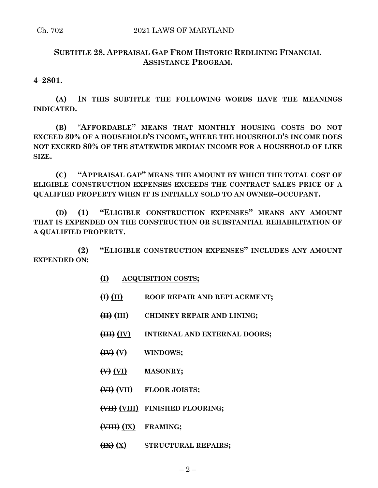# **SUBTITLE 28. APPRAISAL GAP FROM HISTORIC REDLINING FINANCIAL ASSISTANCE PROGRAM.**

**4–2801.**

**(A) IN THIS SUBTITLE THE FOLLOWING WORDS HAVE THE MEANINGS INDICATED.**

**(B)** "**AFFORDABLE" MEANS THAT MONTHLY HOUSING COSTS DO NOT EXCEED 30% OF A HOUSEHOLD'S INCOME, WHERE THE HOUSEHOLD'S INCOME DOES NOT EXCEED 80% OF THE STATEWIDE MEDIAN INCOME FOR A HOUSEHOLD OF LIKE SIZE.**

**(C) "APPRAISAL GAP" MEANS THE AMOUNT BY WHICH THE TOTAL COST OF ELIGIBLE CONSTRUCTION EXPENSES EXCEEDS THE CONTRACT SALES PRICE OF A QUALIFIED PROPERTY WHEN IT IS INITIALLY SOLD TO AN OWNER–OCCUPANT.**

**(D) (1) "ELIGIBLE CONSTRUCTION EXPENSES" MEANS ANY AMOUNT THAT IS EXPENDED ON THE CONSTRUCTION OR SUBSTANTIAL REHABILITATION OF A QUALIFIED PROPERTY.**

**(2) "ELIGIBLE CONSTRUCTION EXPENSES" INCLUDES ANY AMOUNT EXPENDED ON:**

- **(I) ACQUISITION COSTS;**
- **(I) (II) ROOF REPAIR AND REPLACEMENT;**
- **(II) (III) CHIMNEY REPAIR AND LINING;**
- **(III) (IV) INTERNAL AND EXTERNAL DOORS;**
- **(IV) (V) WINDOWS;**
- **(V) (VI) MASONRY;**
- **(VI) (VII) FLOOR JOISTS;**
- **(VII) (VIII) FINISHED FLOORING;**
- **(VIII) (IX) FRAMING;**
- **(IX) (X) STRUCTURAL REPAIRS;**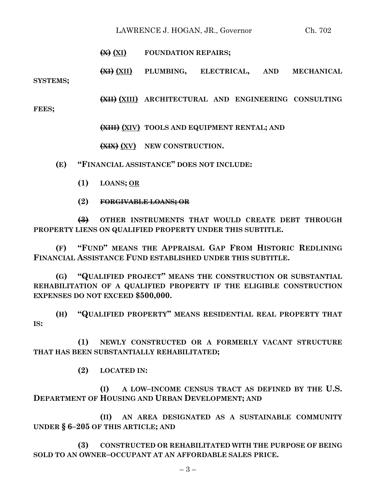## LAWRENCE J. HOGAN, JR., Governor Ch. 702

#### **(X) (XI) FOUNDATION REPAIRS;**

**(XI) (XII) PLUMBING, ELECTRICAL, AND MECHANICAL SYSTEMS;**

**(XII) (XIII) ARCHITECTURAL AND ENGINEERING CONSULTING**

**FEES;**

**(XIII) (XIV) TOOLS AND EQUIPMENT RENTAL; AND**

**(XIX) (XV) NEW CONSTRUCTION.**

**(E) "FINANCIAL ASSISTANCE" DOES NOT INCLUDE:**

- **(1) LOANS; OR**
- **(2) FORGIVABLE LOANS; OR**

**(3) OTHER INSTRUMENTS THAT WOULD CREATE DEBT THROUGH PROPERTY LIENS ON QUALIFIED PROPERTY UNDER THIS SUBTITLE.**

**(F) "FUND" MEANS THE APPRAISAL GAP FROM HISTORIC REDLINING FINANCIAL ASSISTANCE FUND ESTABLISHED UNDER THIS SUBTITLE.**

**(G) "QUALIFIED PROJECT" MEANS THE CONSTRUCTION OR SUBSTANTIAL REHABILITATION OF A QUALIFIED PROPERTY IF THE ELIGIBLE CONSTRUCTION EXPENSES DO NOT EXCEED \$500,000.**

**(H) "QUALIFIED PROPERTY" MEANS RESIDENTIAL REAL PROPERTY THAT IS:**

**(1) NEWLY CONSTRUCTED OR A FORMERLY VACANT STRUCTURE THAT HAS BEEN SUBSTANTIALLY REHABILITATED;**

**(2) LOCATED IN:**

**(I) A LOW–INCOME CENSUS TRACT AS DEFINED BY THE U.S. DEPARTMENT OF HOUSING AND URBAN DEVELOPMENT; AND**

**(II) AN AREA DESIGNATED AS A SUSTAINABLE COMMUNITY UNDER § 6–205 OF THIS ARTICLE; AND**

**(3) CONSTRUCTED OR REHABILITATED WITH THE PURPOSE OF BEING SOLD TO AN OWNER–OCCUPANT AT AN AFFORDABLE SALES PRICE.**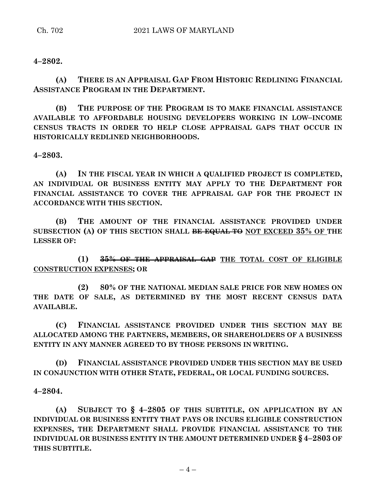## **4–2802.**

**(A) THERE IS AN APPRAISAL GAP FROM HISTORIC REDLINING FINANCIAL ASSISTANCE PROGRAM IN THE DEPARTMENT.**

**(B) THE PURPOSE OF THE PROGRAM IS TO MAKE FINANCIAL ASSISTANCE AVAILABLE TO AFFORDABLE HOUSING DEVELOPERS WORKING IN LOW–INCOME CENSUS TRACTS IN ORDER TO HELP CLOSE APPRAISAL GAPS THAT OCCUR IN HISTORICALLY REDLINED NEIGHBORHOODS.**

**4–2803.**

**(A) IN THE FISCAL YEAR IN WHICH A QUALIFIED PROJECT IS COMPLETED, AN INDIVIDUAL OR BUSINESS ENTITY MAY APPLY TO THE DEPARTMENT FOR FINANCIAL ASSISTANCE TO COVER THE APPRAISAL GAP FOR THE PROJECT IN ACCORDANCE WITH THIS SECTION.**

**(B) THE AMOUNT OF THE FINANCIAL ASSISTANCE PROVIDED UNDER SUBSECTION (A) OF THIS SECTION SHALL BE EQUAL TO NOT EXCEED 35% OF THE LESSER OF:**

**(1) 35% OF THE APPRAISAL GAP THE TOTAL COST OF ELIGIBLE CONSTRUCTION EXPENSES; OR**

**(2) 80% OF THE NATIONAL MEDIAN SALE PRICE FOR NEW HOMES ON THE DATE OF SALE, AS DETERMINED BY THE MOST RECENT CENSUS DATA AVAILABLE.**

**(C) FINANCIAL ASSISTANCE PROVIDED UNDER THIS SECTION MAY BE ALLOCATED AMONG THE PARTNERS, MEMBERS, OR SHAREHOLDERS OF A BUSINESS ENTITY IN ANY MANNER AGREED TO BY THOSE PERSONS IN WRITING.**

**(D) FINANCIAL ASSISTANCE PROVIDED UNDER THIS SECTION MAY BE USED IN CONJUNCTION WITH OTHER STATE, FEDERAL, OR LOCAL FUNDING SOURCES.**

**4–2804.**

**(A) SUBJECT TO § 4–2805 OF THIS SUBTITLE, ON APPLICATION BY AN INDIVIDUAL OR BUSINESS ENTITY THAT PAYS OR INCURS ELIGIBLE CONSTRUCTION EXPENSES, THE DEPARTMENT SHALL PROVIDE FINANCIAL ASSISTANCE TO THE INDIVIDUAL OR BUSINESS ENTITY IN THE AMOUNT DETERMINED UNDER § 4–2803 OF THIS SUBTITLE.**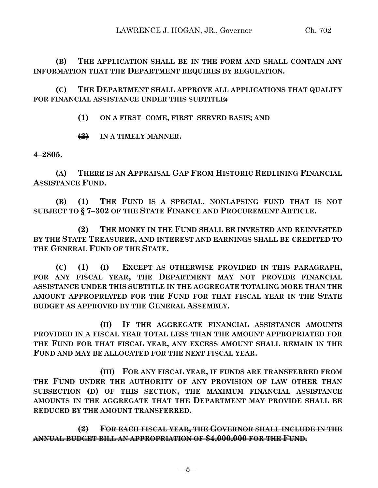**(B) THE APPLICATION SHALL BE IN THE FORM AND SHALL CONTAIN ANY INFORMATION THAT THE DEPARTMENT REQUIRES BY REGULATION.**

**(C) THE DEPARTMENT SHALL APPROVE ALL APPLICATIONS THAT QUALIFY FOR FINANCIAL ASSISTANCE UNDER THIS SUBTITLE:**

# **(1) ON A FIRST–COME, FIRST–SERVED BASIS; AND**

**(2) IN A TIMELY MANNER.**

**4–2805.**

**(A) THERE IS AN APPRAISAL GAP FROM HISTORIC REDLINING FINANCIAL ASSISTANCE FUND.**

**(B) (1) THE FUND IS A SPECIAL, NONLAPSING FUND THAT IS NOT SUBJECT TO § 7–302 OF THE STATE FINANCE AND PROCUREMENT ARTICLE.**

**(2) THE MONEY IN THE FUND SHALL BE INVESTED AND REINVESTED BY THE STATE TREASURER, AND INTEREST AND EARNINGS SHALL BE CREDITED TO THE GENERAL FUND OF THE STATE.**

**(C) (1) (I) EXCEPT AS OTHERWISE PROVIDED IN THIS PARAGRAPH, FOR ANY FISCAL YEAR, THE DEPARTMENT MAY NOT PROVIDE FINANCIAL ASSISTANCE UNDER THIS SUBTITLE IN THE AGGREGATE TOTALING MORE THAN THE AMOUNT APPROPRIATED FOR THE FUND FOR THAT FISCAL YEAR IN THE STATE BUDGET AS APPROVED BY THE GENERAL ASSEMBLY.**

**(II) IF THE AGGREGATE FINANCIAL ASSISTANCE AMOUNTS PROVIDED IN A FISCAL YEAR TOTAL LESS THAN THE AMOUNT APPROPRIATED FOR THE FUND FOR THAT FISCAL YEAR, ANY EXCESS AMOUNT SHALL REMAIN IN THE FUND AND MAY BE ALLOCATED FOR THE NEXT FISCAL YEAR.**

**(III) FOR ANY FISCAL YEAR, IF FUNDS ARE TRANSFERRED FROM THE FUND UNDER THE AUTHORITY OF ANY PROVISION OF LAW OTHER THAN SUBSECTION (D) OF THIS SECTION, THE MAXIMUM FINANCIAL ASSISTANCE AMOUNTS IN THE AGGREGATE THAT THE DEPARTMENT MAY PROVIDE SHALL BE REDUCED BY THE AMOUNT TRANSFERRED.**

**(2) FOR EACH FISCAL YEAR, THE GOVERNOR SHALL INCLUDE IN THE ANNUAL BUDGET BILL AN APPROPRIATION OF \$4,000,000 FOR THE FUND.**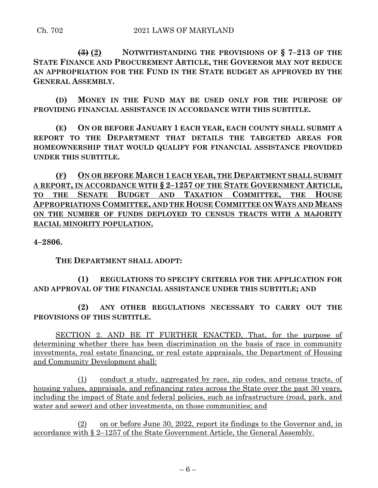**(3) (2) NOTWITHSTANDING THE PROVISIONS OF § 7–213 OF THE STATE FINANCE AND PROCUREMENT ARTICLE, THE GOVERNOR MAY NOT REDUCE AN APPROPRIATION FOR THE FUND IN THE STATE BUDGET AS APPROVED BY THE GENERAL ASSEMBLY.**

**(D) MONEY IN THE FUND MAY BE USED ONLY FOR THE PURPOSE OF PROVIDING FINANCIAL ASSISTANCE IN ACCORDANCE WITH THIS SUBTITLE.**

**(E) ON OR BEFORE JANUARY 1 EACH YEAR, EACH COUNTY SHALL SUBMIT A REPORT TO THE DEPARTMENT THAT DETAILS THE TARGETED AREAS FOR HOMEOWNERSHIP THAT WOULD QUALIFY FOR FINANCIAL ASSISTANCE PROVIDED UNDER THIS SUBTITLE.**

**(F) ON OR BEFORE MARCH 1 EACH YEAR, THE DEPARTMENT SHALL SUBMIT A REPORT, IN ACCORDANCE WITH § 2–1257 OF THE STATE GOVERNMENT ARTICLE, TO THE SENATE BUDGET AND TAXATION COMMITTEE, THE HOUSE APPROPRIATIONS COMMITTEE, AND THE HOUSE COMMITTEE ON WAYS AND MEANS ON THE NUMBER OF FUNDS DEPLOYED TO CENSUS TRACTS WITH A MAJORITY RACIAL MINORITY POPULATION.**

**4–2806.**

**THE DEPARTMENT SHALL ADOPT:**

# **(1) REGULATIONS TO SPECIFY CRITERIA FOR THE APPLICATION FOR AND APPROVAL OF THE FINANCIAL ASSISTANCE UNDER THIS SUBTITLE; AND**

**(2) ANY OTHER REGULATIONS NECESSARY TO CARRY OUT THE PROVISIONS OF THIS SUBTITLE.**

SECTION 2. AND BE IT FURTHER ENACTED, That, for the purpose of determining whether there has been discrimination on the basis of race in community investments, real estate financing, or real estate appraisals, the Department of Housing and Community Development shall:

(1) conduct a study, aggregated by race, zip codes, and census tracts, of housing values, appraisals, and refinancing rates across the State over the past 30 years, including the impact of State and federal policies, such as infrastructure (road, park, and water and sewer) and other investments, on those communities; and

(2) on or before June 30, 2022, report its findings to the Governor and, in accordance with § 2–1257 of the State Government Article, the General Assembly.